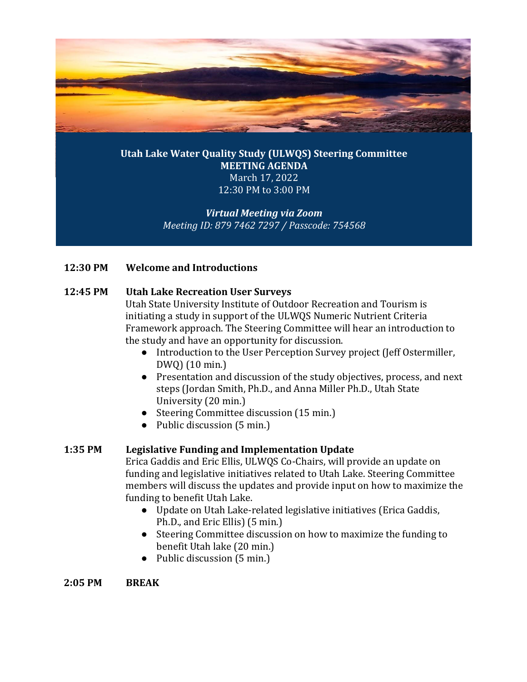

## **Utah Lake Water Quality Study (ULWQS) Steering Committee MEETING AGENDA** March 17, 2022 12:30 PM to 3:00 PM

# *Virtual Meeting via Zoom Meeting ID: 879 7462 7297 / Passcode: 754568*

## **12:30 PM Welcome and Introductions**

### **12:45 PM Utah Lake Recreation User Surveys**

Utah State University Institute of Outdoor Recreation and Tourism is initiating a study in support of the ULWQS Numeric Nutrient Criteria Framework approach. The Steering Committee will hear an introduction to the study and have an opportunity for discussion.

- Introduction to the User Perception Survey project (Jeff Ostermiller, DWQ) (10 min.)
- Presentation and discussion of the study objectives, process, and next steps (Jordan Smith, Ph.D., and Anna Miller Ph.D., Utah State University (20 min.)
- Steering Committee discussion (15 min.)
- Public discussion (5 min.)

### **1:35 PM Legislative Funding and Implementation Update**

Erica Gaddis and Eric Ellis, ULWQS Co-Chairs, will provide an update on funding and legislative initiatives related to Utah Lake. Steering Committee members will discuss the updates and provide input on how to maximize the funding to benefit Utah Lake.

- Update on Utah Lake-related legislative initiatives (Erica Gaddis, Ph.D., and Eric Ellis) (5 min.)
- Steering Committee discussion on how to maximize the funding to benefit Utah lake (20 min.)
- Public discussion (5 min.)

**2:05 PM BREAK**